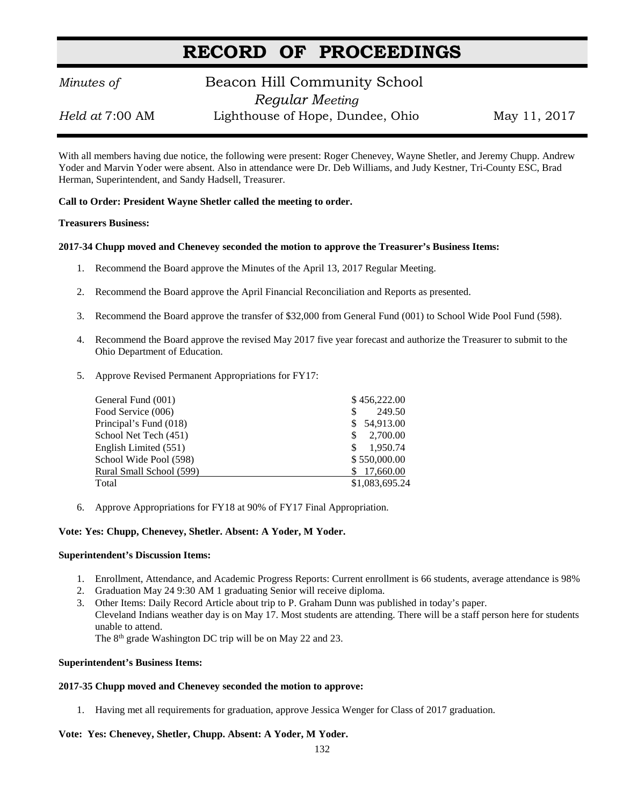# **RECORD OF PROCEEDINGS**

### *Minutes of* **Beacon Hill Community School**  *Regular Meeting Held at* 7:00 AM Lighthouse of Hope, Dundee, Ohio May 11, 2017

With all members having due notice, the following were present: Roger Chenevey, Wayne Shetler, and Jeremy Chupp. Andrew Yoder and Marvin Yoder were absent. Also in attendance were Dr. Deb Williams, and Judy Kestner, Tri-County ESC, Brad Herman, Superintendent, and Sandy Hadsell, Treasurer.

**Call to Order: President Wayne Shetler called the meeting to order.**

#### **Treasurers Business:**

#### **2017-34 Chupp moved and Chenevey seconded the motion to approve the Treasurer's Business Items:**

- 1. Recommend the Board approve the Minutes of the April 13, 2017 Regular Meeting.
- 2. Recommend the Board approve the April Financial Reconciliation and Reports as presented.
- 3. Recommend the Board approve the transfer of \$32,000 from General Fund (001) to School Wide Pool Fund (598).
- 4. Recommend the Board approve the revised May 2017 five year forecast and authorize the Treasurer to submit to the Ohio Department of Education.
- 5. Approve Revised Permanent Appropriations for FY17:

| General Fund (001)       | \$456,222.00   |
|--------------------------|----------------|
| Food Service (006)       | 249.50<br>\$   |
| Principal's Fund (018)   | 54.913.00      |
| School Net Tech (451)    | 2,700.00<br>S  |
| English Limited (551)    | 1.950.74       |
| School Wide Pool (598)   | \$550,000.00   |
| Rural Small School (599) | 17,660.00      |
| Total                    | \$1,083,695.24 |

6. Approve Appropriations for FY18 at 90% of FY17 Final Appropriation.

#### **Vote: Yes: Chupp, Chenevey, Shetler. Absent: A Yoder, M Yoder.**

#### **Superintendent's Discussion Items:**

- 1. Enrollment, Attendance, and Academic Progress Reports: Current enrollment is 66 students, average attendance is 98%
- 2. Graduation May 24 9:30 AM 1 graduating Senior will receive diploma.
- 3. Other Items: Daily Record Article about trip to P. Graham Dunn was published in today's paper. Cleveland Indians weather day is on May 17. Most students are attending. There will be a staff person here for students unable to attend.

The 8<sup>th</sup> grade Washington DC trip will be on May 22 and 23.

#### **Superintendent's Business Items:**

#### **2017-35 Chupp moved and Chenevey seconded the motion to approve:**

1. Having met all requirements for graduation, approve Jessica Wenger for Class of 2017 graduation.

### **Vote: Yes: Chenevey, Shetler, Chupp. Absent: A Yoder, M Yoder.**